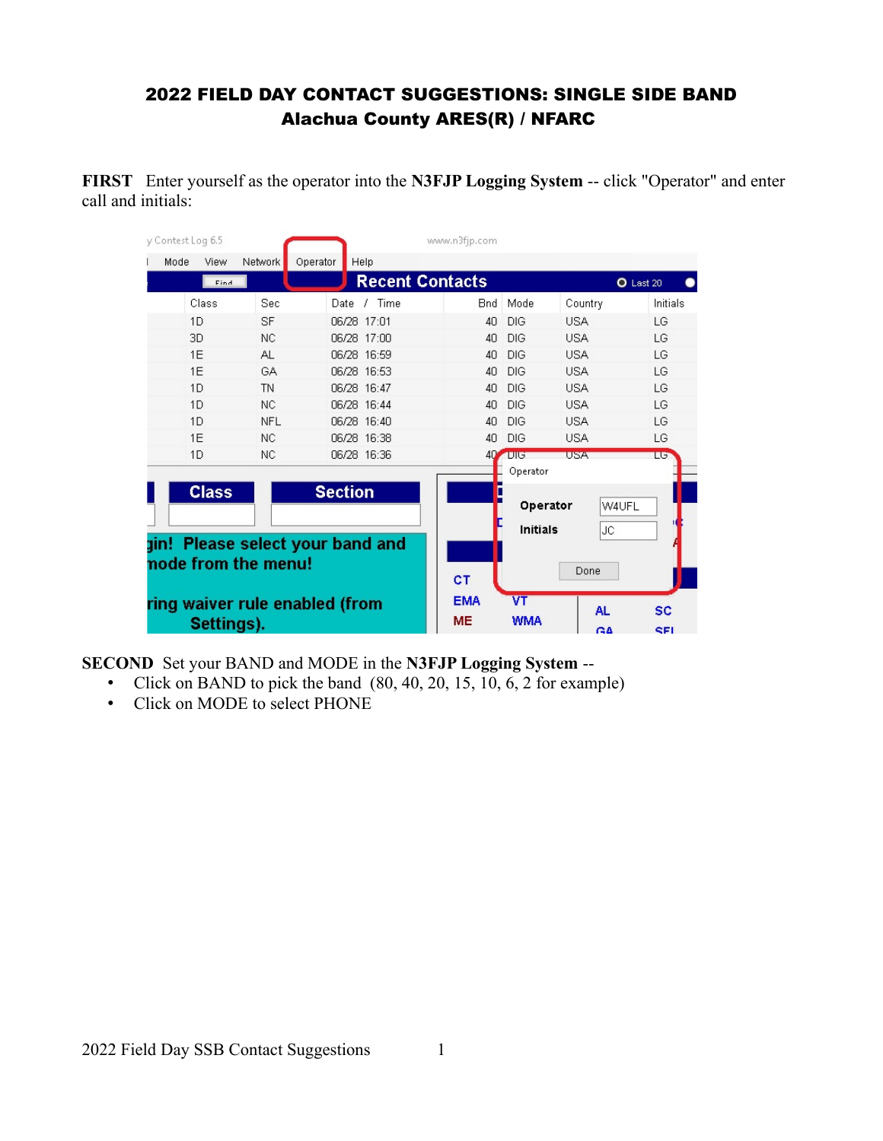#### 2022 FIELD DAY CONTACT SUGGESTIONS: SINGLE SIDE BAND Alachua County ARES(R) / NFARC

**FIRST** Enter yourself as the operator into the **N3FJP Logging System** -- click "Operator" and enter call and initials:

| v Contest Log 6.5              |            |            |                                  | www.n3fip.com  |                 |            |           |
|--------------------------------|------------|------------|----------------------------------|----------------|-----------------|------------|-----------|
| Mode                           | View       | Network    | Operator<br>Help                 |                |                 |            |           |
|                                | Find       |            | <b>Recent Contacts</b>           |                |                 |            | O Last 20 |
|                                | Class      | Sec        | Time<br>Date                     | Bnd            | Mode            | Country    | Initials  |
|                                | 1D         | <b>SF</b>  | 06/28 17:01                      | 40             | DIG             | <b>USA</b> | LG        |
|                                | 3D         | <b>NC</b>  | 06/28 17:00                      | 40             | DIG             | <b>USA</b> | LG        |
|                                | 1F         | AL.        | 06/28 16:59                      | 4 <sub>0</sub> | <b>DIG</b>      | <b>USA</b> | LG        |
|                                | 1E         | GA         | 06/28 16:53                      | 40             | DIG             | <b>USA</b> | LG        |
|                                | 1D         | <b>TN</b>  | 06/28 16:47                      | 40             | <b>DIG</b>      | <b>USA</b> | LG        |
|                                | 1D         | NC.        | 06/28 16:44                      | 40             | <b>DIG</b>      | <b>USA</b> | LG        |
|                                | 1D         | <b>NFL</b> | 06/28 16:40                      | 40             | DIG             | <b>USA</b> | LG        |
|                                | 1E         | <b>NC</b>  | 06/28 16:38                      | 40             | DIG             | <b>USA</b> | LG        |
|                                | 1D         | NC.        | 06/28 16:36                      | 40             | $-1015$         | <b>USA</b> | LG.       |
|                                |            |            |                                  |                | Operator        |            |           |
| <b>Class</b><br><b>Section</b> |            |            |                                  |                |                 |            |           |
|                                |            |            |                                  | Operator       | W4UFL           |            |           |
|                                |            |            |                                  |                | <b>Initials</b> | <b>JC</b>  |           |
|                                |            |            | gin! Please select your band and |                |                 |            |           |
| node from the menu!            |            |            |                                  |                |                 |            |           |
|                                |            |            |                                  | CT             | Done            |            |           |
| ring waiver rule enabled (from |            |            |                                  | <b>EMA</b>     | VT              |            |           |
|                                |            |            |                                  | <b>ME</b>      | <b>WMA</b>      | <b>AL</b>  | SC        |
|                                | Settings). |            |                                  |                |                 | GA         | SEL       |

**SECOND** Set your BAND and MODE in the **N3FJP Logging System** --

- Click on BAND to pick the band  $(80, 40, 20, 15, 10, 6, 2$  for example)
- Click on MODE to select PHONE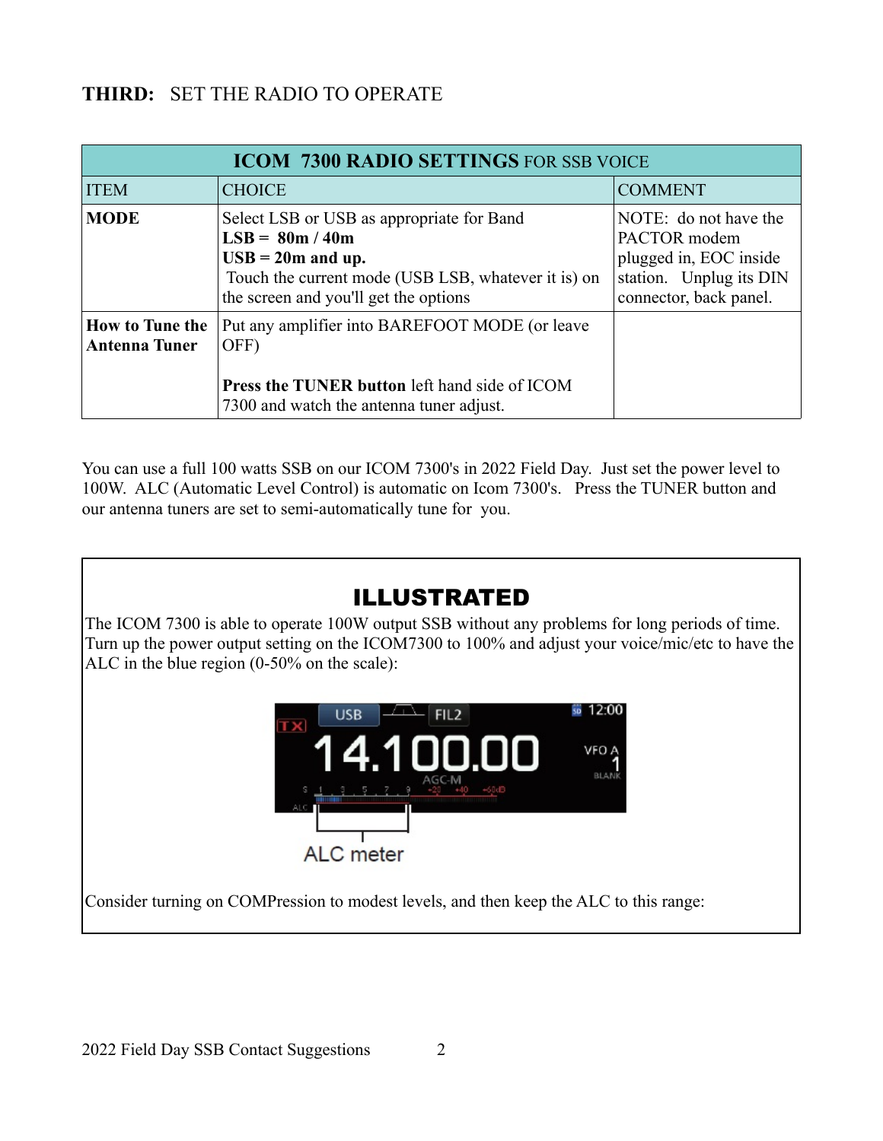### **THIRD:** SET THE RADIO TO OPERATE

| <b>ICOM 7300 RADIO SETTINGS FOR SSB VOICE</b>  |                                                                                                                                                                                                      |                                                                                                                      |  |  |  |  |  |
|------------------------------------------------|------------------------------------------------------------------------------------------------------------------------------------------------------------------------------------------------------|----------------------------------------------------------------------------------------------------------------------|--|--|--|--|--|
| <b>ITEM</b>                                    | <b>CHOICE</b>                                                                                                                                                                                        | <b>COMMENT</b>                                                                                                       |  |  |  |  |  |
| <b>MODE</b>                                    | Select LSB or USB as appropriate for Band<br>$LSB = 80m / 40m$<br>$\text{USB} = 20 \text{m}$ and up.<br>Touch the current mode (USB LSB, whatever it is) on<br>the screen and you'll get the options | NOTE: do not have the<br>PACTOR modem<br>plugged in, EOC inside<br>station. Unplug its DIN<br>connector, back panel. |  |  |  |  |  |
| <b>How to Tune the</b><br><b>Antenna Tuner</b> | Put any amplifier into BAREFOOT MODE (or leave<br>OFF)<br>Press the TUNER button left hand side of ICOM<br>7300 and watch the antenna tuner adjust.                                                  |                                                                                                                      |  |  |  |  |  |

You can use a full 100 watts SSB on our ICOM 7300's in 2022 Field Day. Just set the power level to 100W. ALC (Automatic Level Control) is automatic on Icom 7300's. Press the TUNER button and our antenna tuners are set to semi-automatically tune for you.

## ILLUSTRATED

The ICOM 7300 is able to operate 100W output SSB without any problems for long periods of time. Turn up the power output setting on the ICOM7300 to 100% and adjust your voice/mic/etc to have the ALC in the blue region (0-50% on the scale):



Consider turning on COMPression to modest levels, and then keep the ALC to this range: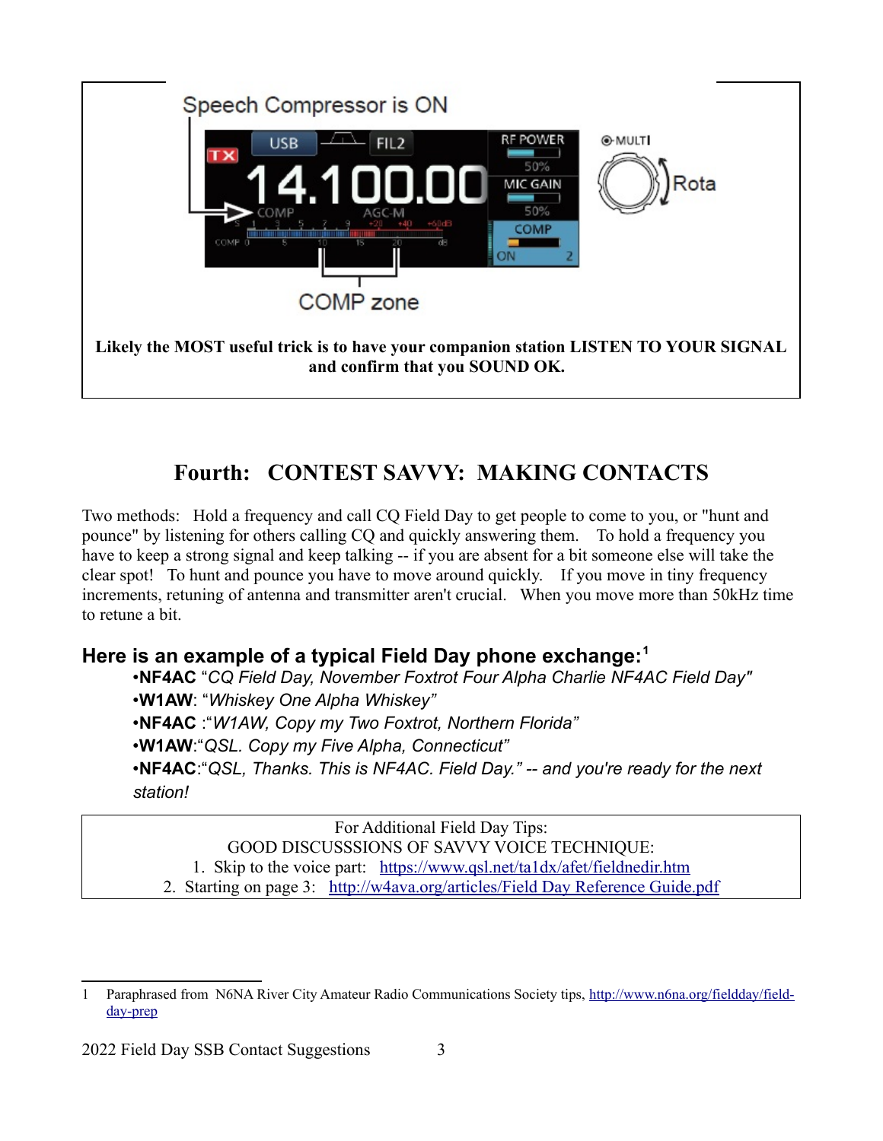

# **Fourth: CONTEST SAVVY: MAKING CONTACTS**

Two methods: Hold a frequency and call CQ Field Day to get people to come to you, or "hunt and pounce" by listening for others calling CQ and quickly answering them. To hold a frequency you have to keep a strong signal and keep talking -- if you are absent for a bit someone else will take the clear spot! To hunt and pounce you have to move around quickly. If you move in tiny frequency increments, retuning of antenna and transmitter aren't crucial. When you move more than 50kHz time to retune a bit.

### **Here is an example of a typical Field Day phone exchange:[1](#page-2-1)**

•**NF4AC** "*CQ Field Day, November Foxtrot Four Alpha Charlie NF4AC Field Day"*

•**W1AW**: "*Whiskey One Alpha Whiskey"*

•**NF4AC** :"*W1AW, Copy my Two Foxtrot, Northern Florida"*

•**W1AW**:"*QSL. Copy my Five Alpha, Connecticut"*

•**NF4AC**:"*QSL, Thanks. This is NF4AC. Field Day." -- and you're ready for the next station!*

<span id="page-2-0"></span>For Additional Field Day Tips:

GOOD DISCUSSSIONS OF SAVVY VOICE TECHNIQUE:

1. Skip to the voice part: <https://www.qsl.net/ta1dx/afet/fieldnedir.htm>

2. Starting on page 3: [http://w4ava.org/articles/Field Day Reference Guide.pdf](http://w4ava.org/articles/Field%20Day%20Reference%20Guide.pdf)

<span id="page-2-1"></span>[<sup>1</sup>](#page-2-0) Paraphrased from N6NA River City Amateur Radio Communications Society tips, [http://www.n6na.org/fieldday/field](http://www.n6na.org/fieldday/field-day-prep)[day-prep](http://www.n6na.org/fieldday/field-day-prep)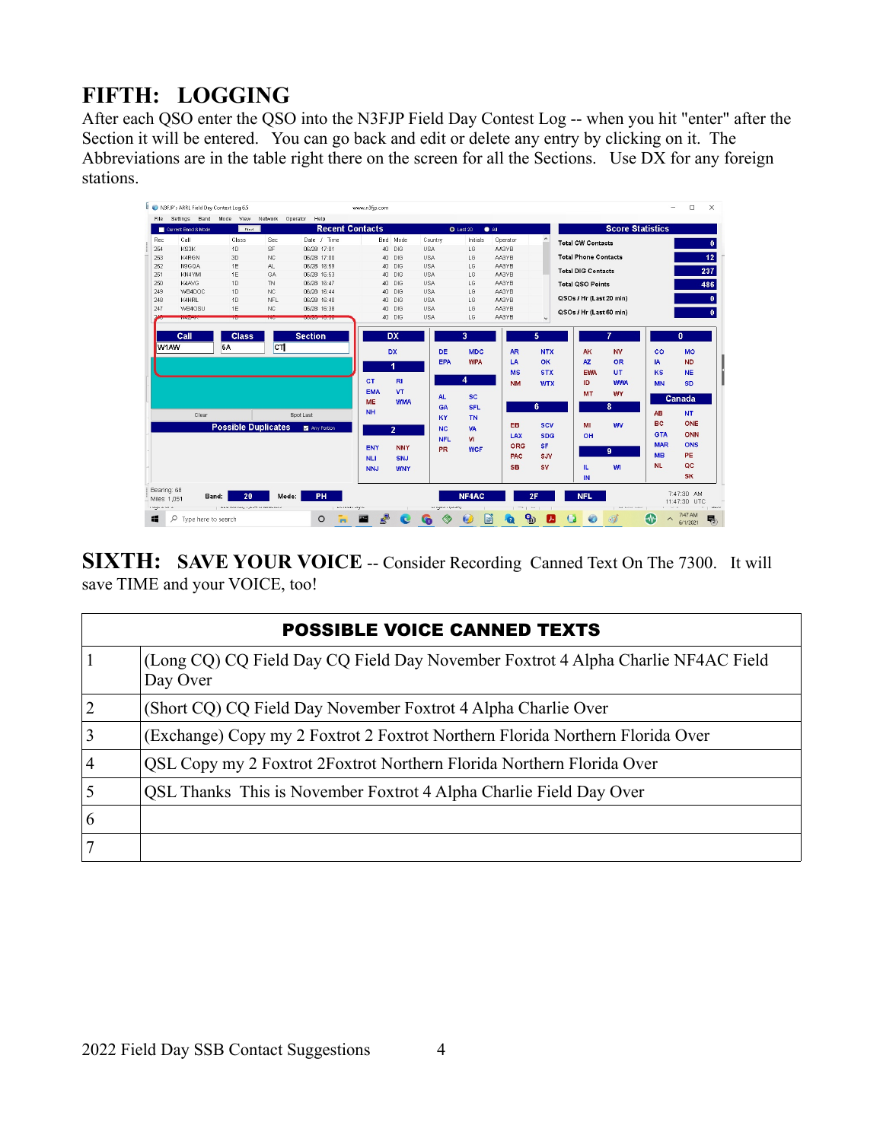## **FIFTH: LOGGING**

After each QSO enter the QSO into the N3FJP Field Day Contest Log -- when you hit "enter" after the Section it will be entered. You can go back and edit or delete any entry by clicking on it. The Abbreviations are in the table right there on the screen for all the Sections. Use DX for any foreign stations.

| Settings Band Mode<br>Network<br>Operator<br>Help<br>File<br>View<br><b>Score Statistics</b><br><b>Recent Contacts</b><br>$O$ Last 20<br>$\bullet$ All<br>Current Band & Mode<br>Find.<br>Call<br>Sec<br>Date / Time<br>Bnd Mode<br>Rec<br>Class<br>Country<br>Initials<br>Operator<br><b>Total CW Contacts</b><br>254<br>SF<br>KS3K<br>1D<br>06/28 17:01<br>40 DIG<br><b>USA</b><br>LG<br>AA3YB<br>K4RGN<br><b>USA</b><br>AA3YB<br><b>Total Phone Contacts</b><br>253<br>3D<br><b>NC</b><br>06/28 17:00<br>40 DIG<br>LG<br>AA3YB<br>252<br>N9GOA<br>1E<br>AL.<br>06/28 16:59<br><b>USA</b><br>LG<br>40 DIG<br><b>Total DIG Contacts</b><br>251<br>KN4YMI<br>1E<br>06/28 16:53<br><b>USA</b><br>LG<br>AA3YB<br>GA<br>40 DIG<br>AA3YB<br>250<br>K4AVG<br>1D<br><b>TN</b><br>06/28 16:47<br><b>USA</b><br>LG<br>40 DIG<br><b>Total QSO Points</b><br>N <sub>C</sub><br><b>USA</b><br>AA3YB<br>249<br>WB4DOC<br>1D<br>06/28 16:44<br>40 DIG<br>LG<br>QSOs / Hr (Last 20 min)<br>K4HRL<br><b>NFL</b><br><b>USA</b><br>248<br>1D<br>06/28 16:40<br>40 DIG<br>LG<br>AA3YB<br>247<br>1E<br><b>NC</b><br>40 DIG<br><b>USA</b><br>LG<br>AA3YB<br>WB4OSU<br>06/28 16:38<br>QSOs / Hr (Last 60 min)<br>40 DIG<br><b>USA</b><br>LG<br>AA3YB<br><b>NEWSFILM</b><br><b>Section</b><br>3<br>Call<br><b>Class</b><br><b>DX</b><br>5<br>$c\tau$<br>W1AW<br><b>5A</b><br><b>MDC</b><br><b>DX</b><br><b>DE</b><br><b>AR</b><br><b>NTX</b><br><b>AK</b><br><b>NV</b><br><b>EPA</b><br><b>WPA</b><br>OK<br>AZ<br><b>OR</b><br>LA<br>1<br><b>STX</b><br>UT.<br><b>MS</b><br>EWA<br>4<br><b>CT</b><br><b>RI</b><br>ID.<br><b>WWA</b><br><b>NM</b><br><b>WTX</b><br><b>VT</b><br><b>EMA</b><br><b>MT</b><br><b>WY</b><br><b>SC</b><br><b>AL</b><br><b>WMA</b><br><b>ME</b><br>8<br>6<br><b>SFL</b><br>GA<br><b>NH</b><br>Clear<br>Spot Last<br>KY<br><b>TN</b><br>EB<br><b>SCV</b><br>MI<br><b>WV</b><br><b>Possible Duplicates</b><br>Any Pertien<br><b>NC</b><br>VA<br>$\overline{2}$<br><b>SDG</b><br>OH<br>LAX<br><b>VI</b><br><b>NFL</b><br><b>SF</b><br><b>ORG</b> |                                        | $\Box$<br>$\times$                  |
|--------------------------------------------------------------------------------------------------------------------------------------------------------------------------------------------------------------------------------------------------------------------------------------------------------------------------------------------------------------------------------------------------------------------------------------------------------------------------------------------------------------------------------------------------------------------------------------------------------------------------------------------------------------------------------------------------------------------------------------------------------------------------------------------------------------------------------------------------------------------------------------------------------------------------------------------------------------------------------------------------------------------------------------------------------------------------------------------------------------------------------------------------------------------------------------------------------------------------------------------------------------------------------------------------------------------------------------------------------------------------------------------------------------------------------------------------------------------------------------------------------------------------------------------------------------------------------------------------------------------------------------------------------------------------------------------------------------------------------------------------------------------------------------------------------------------------------------------------------------------------------------------------------------------------------------------------------------------------------------------------------------------------------------------------|----------------------------------------|-------------------------------------|
|                                                                                                                                                                                                                                                                                                                                                                                                                                                                                                                                                                                                                                                                                                                                                                                                                                                                                                                                                                                                                                                                                                                                                                                                                                                                                                                                                                                                                                                                                                                                                                                                                                                                                                                                                                                                                                                                                                                                                                                                                                                  |                                        |                                     |
|                                                                                                                                                                                                                                                                                                                                                                                                                                                                                                                                                                                                                                                                                                                                                                                                                                                                                                                                                                                                                                                                                                                                                                                                                                                                                                                                                                                                                                                                                                                                                                                                                                                                                                                                                                                                                                                                                                                                                                                                                                                  |                                        |                                     |
|                                                                                                                                                                                                                                                                                                                                                                                                                                                                                                                                                                                                                                                                                                                                                                                                                                                                                                                                                                                                                                                                                                                                                                                                                                                                                                                                                                                                                                                                                                                                                                                                                                                                                                                                                                                                                                                                                                                                                                                                                                                  |                                        | $\mathbf{0}$                        |
|                                                                                                                                                                                                                                                                                                                                                                                                                                                                                                                                                                                                                                                                                                                                                                                                                                                                                                                                                                                                                                                                                                                                                                                                                                                                                                                                                                                                                                                                                                                                                                                                                                                                                                                                                                                                                                                                                                                                                                                                                                                  |                                        |                                     |
|                                                                                                                                                                                                                                                                                                                                                                                                                                                                                                                                                                                                                                                                                                                                                                                                                                                                                                                                                                                                                                                                                                                                                                                                                                                                                                                                                                                                                                                                                                                                                                                                                                                                                                                                                                                                                                                                                                                                                                                                                                                  |                                        | 12                                  |
|                                                                                                                                                                                                                                                                                                                                                                                                                                                                                                                                                                                                                                                                                                                                                                                                                                                                                                                                                                                                                                                                                                                                                                                                                                                                                                                                                                                                                                                                                                                                                                                                                                                                                                                                                                                                                                                                                                                                                                                                                                                  |                                        | 237                                 |
|                                                                                                                                                                                                                                                                                                                                                                                                                                                                                                                                                                                                                                                                                                                                                                                                                                                                                                                                                                                                                                                                                                                                                                                                                                                                                                                                                                                                                                                                                                                                                                                                                                                                                                                                                                                                                                                                                                                                                                                                                                                  |                                        |                                     |
|                                                                                                                                                                                                                                                                                                                                                                                                                                                                                                                                                                                                                                                                                                                                                                                                                                                                                                                                                                                                                                                                                                                                                                                                                                                                                                                                                                                                                                                                                                                                                                                                                                                                                                                                                                                                                                                                                                                                                                                                                                                  |                                        | 486                                 |
|                                                                                                                                                                                                                                                                                                                                                                                                                                                                                                                                                                                                                                                                                                                                                                                                                                                                                                                                                                                                                                                                                                                                                                                                                                                                                                                                                                                                                                                                                                                                                                                                                                                                                                                                                                                                                                                                                                                                                                                                                                                  |                                        | $\mathbf{0}$                        |
|                                                                                                                                                                                                                                                                                                                                                                                                                                                                                                                                                                                                                                                                                                                                                                                                                                                                                                                                                                                                                                                                                                                                                                                                                                                                                                                                                                                                                                                                                                                                                                                                                                                                                                                                                                                                                                                                                                                                                                                                                                                  |                                        |                                     |
|                                                                                                                                                                                                                                                                                                                                                                                                                                                                                                                                                                                                                                                                                                                                                                                                                                                                                                                                                                                                                                                                                                                                                                                                                                                                                                                                                                                                                                                                                                                                                                                                                                                                                                                                                                                                                                                                                                                                                                                                                                                  |                                        | $\mathbf{0}$                        |
|                                                                                                                                                                                                                                                                                                                                                                                                                                                                                                                                                                                                                                                                                                                                                                                                                                                                                                                                                                                                                                                                                                                                                                                                                                                                                                                                                                                                                                                                                                                                                                                                                                                                                                                                                                                                                                                                                                                                                                                                                                                  | <b>KS</b><br><b>MN</b><br>Canada<br>AB | <b>NE</b><br><b>SD</b><br><b>NT</b> |
|                                                                                                                                                                                                                                                                                                                                                                                                                                                                                                                                                                                                                                                                                                                                                                                                                                                                                                                                                                                                                                                                                                                                                                                                                                                                                                                                                                                                                                                                                                                                                                                                                                                                                                                                                                                                                                                                                                                                                                                                                                                  | <b>BC</b>                              | ONE                                 |
|                                                                                                                                                                                                                                                                                                                                                                                                                                                                                                                                                                                                                                                                                                                                                                                                                                                                                                                                                                                                                                                                                                                                                                                                                                                                                                                                                                                                                                                                                                                                                                                                                                                                                                                                                                                                                                                                                                                                                                                                                                                  | <b>GTA</b>                             | ONN                                 |
|                                                                                                                                                                                                                                                                                                                                                                                                                                                                                                                                                                                                                                                                                                                                                                                                                                                                                                                                                                                                                                                                                                                                                                                                                                                                                                                                                                                                                                                                                                                                                                                                                                                                                                                                                                                                                                                                                                                                                                                                                                                  | <b>MAR</b>                             | <b>ONS</b>                          |
| ENY<br><b>NNY</b><br><b>PR</b><br><b>WCF</b><br>$\overline{9}$<br><b>PAC</b><br>SJV                                                                                                                                                                                                                                                                                                                                                                                                                                                                                                                                                                                                                                                                                                                                                                                                                                                                                                                                                                                                                                                                                                                                                                                                                                                                                                                                                                                                                                                                                                                                                                                                                                                                                                                                                                                                                                                                                                                                                              | <b>MB</b>                              | <b>PE</b>                           |
| <b>NLI</b><br>SNJ                                                                                                                                                                                                                                                                                                                                                                                                                                                                                                                                                                                                                                                                                                                                                                                                                                                                                                                                                                                                                                                                                                                                                                                                                                                                                                                                                                                                                                                                                                                                                                                                                                                                                                                                                                                                                                                                                                                                                                                                                                | <b>NL</b>                              |                                     |
| WI<br><b>SB</b><br><b>SV</b><br>IL.<br><b>NNJ</b><br><b>WNY</b>                                                                                                                                                                                                                                                                                                                                                                                                                                                                                                                                                                                                                                                                                                                                                                                                                                                                                                                                                                                                                                                                                                                                                                                                                                                                                                                                                                                                                                                                                                                                                                                                                                                                                                                                                                                                                                                                                                                                                                                  |                                        | QC                                  |
| IN                                                                                                                                                                                                                                                                                                                                                                                                                                                                                                                                                                                                                                                                                                                                                                                                                                                                                                                                                                                                                                                                                                                                                                                                                                                                                                                                                                                                                                                                                                                                                                                                                                                                                                                                                                                                                                                                                                                                                                                                                                               |                                        | <b>SK</b>                           |
| Bearing: 68<br>PH<br>NF4AC<br><b>NFL</b><br>20<br>2F<br>Mode:<br>Band:<br>Miles: 1,051<br><b>Lugue or e</b><br>THERE WOULD THE THURSDAY.<br><b>MATRIMO VANDA</b><br>surgeon young<br>TATION I<br>I har same sales                                                                                                                                                                                                                                                                                                                                                                                                                                                                                                                                                                                                                                                                                                                                                                                                                                                                                                                                                                                                                                                                                                                                                                                                                                                                                                                                                                                                                                                                                                                                                                                                                                                                                                                                                                                                                                | 7:47:30 AM<br>11:47:30 UTC             |                                     |
| $\mathbb{R}^3$<br>۹ъ<br>P<br>40<br>æ<br>O Type here to search<br>$\circ$<br>6H<br>ØD<br>ᆺ<br>Θ.<br>o<br>m                                                                                                                                                                                                                                                                                                                                                                                                                                                                                                                                                                                                                                                                                                                                                                                                                                                                                                                                                                                                                                                                                                                                                                                                                                                                                                                                                                                                                                                                                                                                                                                                                                                                                                                                                                                                                                                                                                                                        |                                        | 7:47 AM<br>物<br>6/1/2021            |

**SIXTH: SAVE YOUR VOICE** -- Consider Recording Canned Text On The 7300. It will save TIME and your VOICE, too!

| <b>POSSIBLE VOICE CANNED TEXTS</b> |                                                                                              |  |  |  |
|------------------------------------|----------------------------------------------------------------------------------------------|--|--|--|
|                                    | (Long CQ) CQ Field Day CQ Field Day November Foxtrot 4 Alpha Charlie NF4AC Field<br>Day Over |  |  |  |
| $\overline{2}$                     | (Short CQ) CQ Field Day November Foxtrot 4 Alpha Charlie Over                                |  |  |  |
| 3                                  | (Exchange) Copy my 2 Foxtrot 2 Foxtrot Northern Florida Northern Florida Over                |  |  |  |
| 4                                  | QSL Copy my 2 Foxtrot 2 Foxtrot Northern Florida Northern Florida Over                       |  |  |  |
|                                    | QSL Thanks This is November Foxtrot 4 Alpha Charlie Field Day Over                           |  |  |  |
| 6                                  |                                                                                              |  |  |  |
|                                    |                                                                                              |  |  |  |